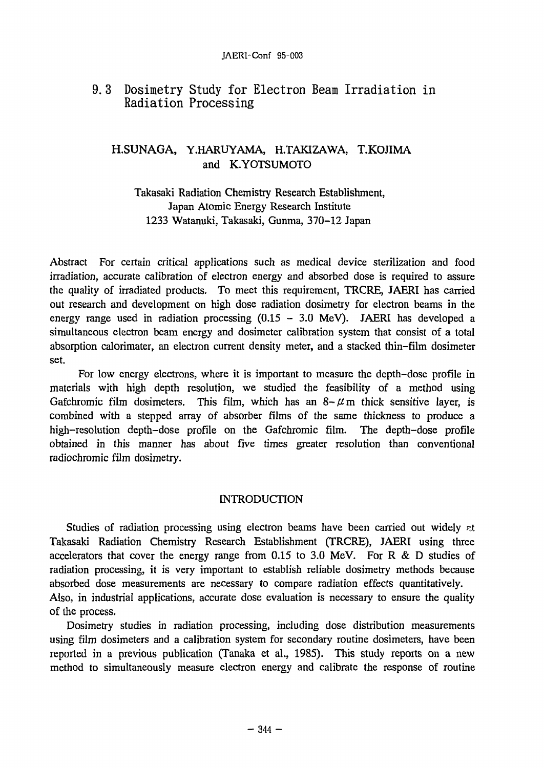# 9. 3 Dosimetry Study for Electron Beam Irradiation in Radiation Processing

# H.SUNAGA, Y.HARUYAMA, H.TAKIZAWA, T.KOJIMA and K.YOTSUMOTO

## Takasaki Radiation Chemistry Research Establishment, Japan Atomic Energy Research Institute 1233 Watanuki, Takasaki, Gunma, 370-12 Japan

Abstract For certain critical applications such as medical device sterilization and food irradiation, accurate calibration of electron energy and absorbed dose is required to assure the quality of irradiated products. To meet this requirement, TRCRE, JAERI has carried out research and development on high dose radiation dosimetry for electron beams in the energy range used in radiation processing  $(0.15 - 3.0 \text{ MeV})$ . JAERI has developed a simultaneous electron beam energy and dosimeter calibration system that consist of a total absorption calorimater, an electron current density meter, and a stacked thin-film dosimeter set.

For low energy electrons, where it is important to measure the depth-dose profile in materials with high depth resolution, we studied the feasibility of a method using Gafchromic film dosimeters. This film, which has an  $8-\mu$  m thick sensitive layer, is combined with a stepped array of absorber films of the same thickness to produce a high-resolution depth-dose profile on the Gafchromic film. The depth-dose profile obtained in this manner has about five times greater resolution than conventional radiochromic film dosimetry.

## INTRODUCTION

Studies of radiation processing using electron beams have been carried out widely *n*t. Takasaki Radiation Chemistry Research Establishment (TRCRE), JAERI using three accelerators that cover the energy range from 0.15 to 3.0 MeV. For R & D studies of radiation processing, it is very important to establish reliable dosimetry methods because absorbed dose measurements are necessary to compare radiation effects quantitatively. Also, in industrial applications, accurate dose evaluation is necessary to ensure the quality of the process.

Dosimetry studies in radiation processing, including dose distribution measurements using film dosimeters and a calibration system for secondary routine dosimeters, have been reported in a previous publication (Tanaka et al., 1985). This study reports on a new method to simultaneously measure electron energy and calibrate the response of routine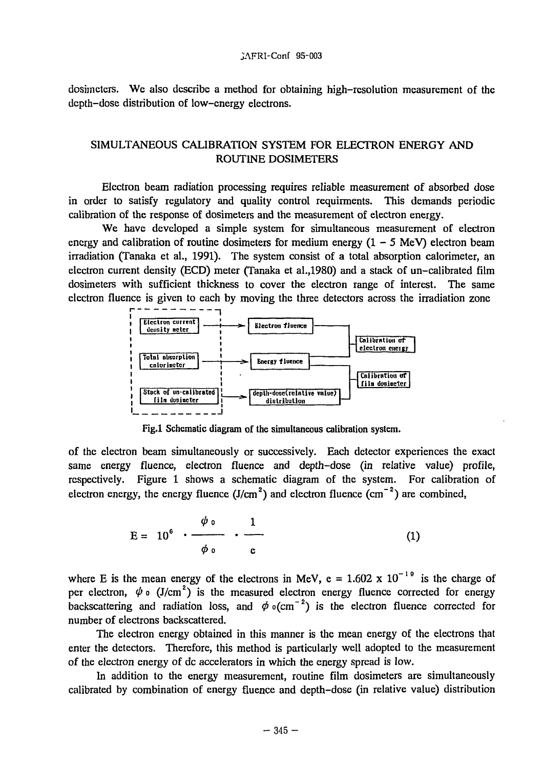dosimeters. We also describe a method for obtaining high-resolution measurement of the depth-dose distribution of low-energy electrons.

## SIMULTANEOUS CALIBRATION SYSTEM FOR ELECTRON ENERGY AND ROUTINE DOSIMETERS

Electron beam radiation processing requires reliable measurement of absorbed dose in order to satisfy regulatory and quality control requirments. This demands periodic calibration of the response of dosimeters and the measurement of electron energy.

We have developed a simple system for simultaneous measurement of electron energy and calibration of routine dosimeters for medium energy  $(1 - 5 \text{ MeV})$  electron beam irradiation (Tanaka et al., 1991). The system consist of a total absorption calorimeter, an electron current density (ECD) meter (Tanaka et al.,1980) and a stack of un-calibrated film dosimeters with sufficient thickness to cover the electron range of interest. The same electron fluence is given to each by moving the three detectors across the irradiation zone



Fig.l Schematic diagram of the simultaneous calibration system.

of the electron beam simultaneously or successively. Each detector experiences the exact same energy fluence, electron fluence and depth-dose (in relative value) profile, respectively. Figure 1 shows a schematic diagram of the system. For calibration of electron energy, the energy fluence  $(J/cm<sup>2</sup>)$  and electron fluence  $(cm<sup>-2</sup>)$  are combined,

$$
E = 106 \cdot \frac{\phi \circ}{\phi \circ} \cdot \frac{1}{c}
$$
 (1)

where E is the mean energy of the electrons in MeV,  $e = 1.602 \times 10^{-19}$  is the charge of per electron,  $\psi$  o (J/cm<sup>2</sup>) is the measured electron energy fluence corrected for energy backscattering and radiation loss, and  $\phi$  o(cm<sup>-2</sup>) is the electron fluence corrected for number of electrons backscattered.

The electron energy obtained in this manner is the mean energy of the electrons that enter the detectors. Therefore, this method is particularly well adopted to the measurement of the electron energy of dc accelerators in which the energy spread is low.

In addition to the energy measurement, routine film dosimeters are simultaneously calibrated by combination of energy fluence and depth-dose (in relative value) distribution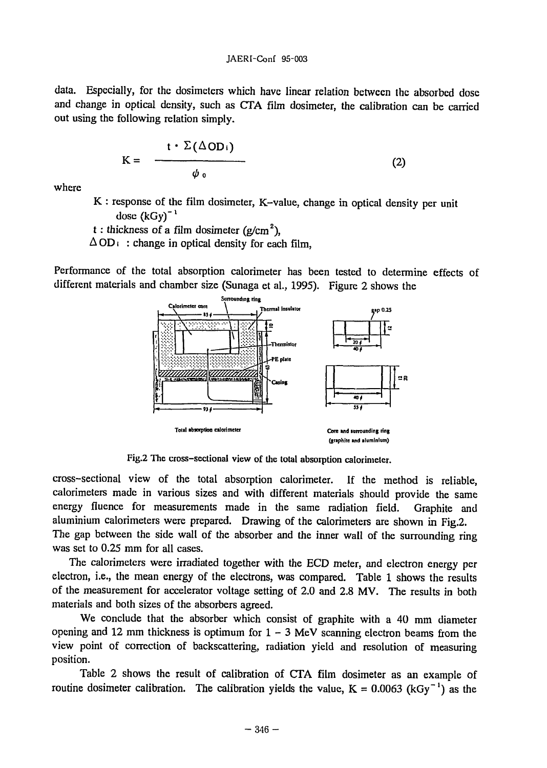data. Especially, for the dosimeters which have linear relation between the absorbed dose and change in optical density, such as CTA film dosimeter, the calibration can be carried out using the following relation simply.

$$
K = \frac{t \cdot \Sigma (\Delta OD_i)}{\phi_0} \tag{2}
$$

where

K : response of the film dosimeter, K-value, change in optical density per unit dose  $(kGy)^{-1}$ 

t : thickness of a film dosimeter (g/cm<sup>2</sup>),  $\Delta OD_i$ : change in optical density for each film.

Performance of the total absorption calorimeter has been tested to determine effects of different materials and chamber size (Sunaga et al., 1995). Figure 2 shows the



Fig.2 The cross-sectional view of the total absorption calorimeter.

cross-sectional view of the total absorption calorimeter. If the method is reliable, calorimeters made in various sizes and with different materials should provide the same energy fiuence for measurements made in the same radiation field. Graphite and aluminium calorimeters were prepared. Drawing of the calorimeters are shown in Fig.2. The gap between the side wall of the absorber and the inner wall of the surrounding ring was set to 0.25 mm for all cases.

The calorimeters were irradiated together with the ECD meter, and electron energy per electron, i.e., the mean energy of the electrons, was compared. Table 1 shows the results of the measurement for accelerator voltage setting of 2.0 and 2.8 MV. The results in both materials and both sizes of the absorbers agreed.

We conclude that the absorber which consist of graphite with a 40 mm diameter opening and 12 mm thickness is optimum for  $1 - 3$  MeV scanning electron beams from the view point of correction of backscattering, radiation yield and resolution of measuring position.

Table 2 shows the result of calibration of CTA film dosimeter as an example of routine dosimeter calibration. The calibration yields the value,  $K = 0.0063$  (kGy<sup>-1</sup>) as the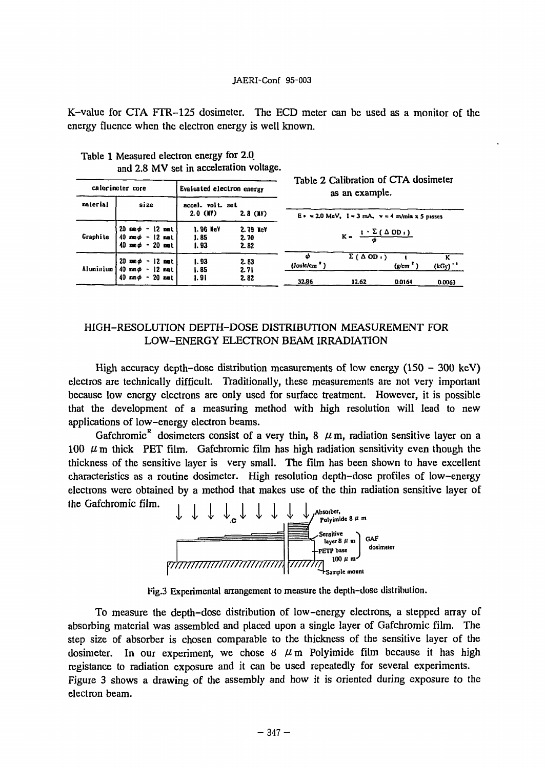#### JAERI-Conf 95-003

K-value for CTA FTR-125 dosimeter. The ECD meter can be used as a monitor of the energy fluence when the electron energy is well known.

| calorineter core |                                                                                                                     | Evaluated electron energy          |                          | Table 2 Calibration of CTA dosimeter<br>as an example.  |                       |                      |                       |
|------------------|---------------------------------------------------------------------------------------------------------------------|------------------------------------|--------------------------|---------------------------------------------------------|-----------------------|----------------------|-----------------------|
| naterial         | size                                                                                                                | accel. volt. set<br><b>2.0 CMV</b> | $2.8$ (NV)               | E = $\approx$ 2.0 MeV, 1 = 3 mA, v = 4 m/min x 5 passes |                       |                      |                       |
| Craphite         | $20 \text{ map} - 12 \text{ min}$<br>$40 \text{ mm}\phi - 12 \text{ mm}$<br>$40 \text{ mm}\phi - 20 \text{ mm}$     | 1.96 NeV<br>1.85<br>1.93           | 2.79 NeV<br>2.70<br>2.82 | $K = \frac{1 \cdot \sum (\Delta OD_1)}{d}$              |                       |                      |                       |
| Aluminium        | $20 \, \text{mm} \phi - 12 \, \text{mm}$<br>$40 \,$ mm $\phi - 12 \,$ mmt<br>$40 \text{ nm} \phi - 20 \text{ nm}$ t | 1.93<br>1.85<br>1.91               | 2.83<br>2.71<br>2.82     | Φ<br>(Joule/cm <sup>3</sup> )                           | $\Sigma(\Delta OD_1)$ | (g/cm <sup>2</sup> ) | $(kGy)$ <sup>-1</sup> |
|                  |                                                                                                                     |                                    |                          | 32.86                                                   | 12.62                 | 0.0164               | 0.0063                |

Table 1 Measured electron energy for 2.0 and 2.8 MV set in acceleration voltage.

### HIGH-RESOLUTION DEPTH-DOSE DISTRIBUTION MEASUREMENT FOR LOW-ENERGY ELECTRON BEAM IRRADIATION

High accuracy depth-dose distribution measurements of low energy  $(150 - 300 \text{ keV})$ electros are technically difficult. Traditionally, these measurements are not very important because low energy electrons are only used for surface treatment. However, it is possible that the development of a measuring method with high resolution will lead to new applications of low-energy electron beams.

Gafchromic<sup>R</sup> dosimeters consist of a very thin, 8  $\mu$ m, radiation sensitive layer on a 100  $\mu$  m thick PET film. Gafchromic film has high radiation sensitivity even though the thickness of the sensitive layer is very small. The film has been shown to have excellent characteristics as a routine dosimeter. High resolution depth-dose profiles of low-energy electrons were obtained by a method that makes use of the thin radiation sensitive layer of the Gafchromic film.



Fig.3 Experimental arrangement to measure the depth-dose distribution.

To measure the depth-dose distribution of low-energy electrons, a stepped array of absorbing material was assembled and placed upon a single layer of Gafchromic film. The step size of absorber is chosen comparable to the thickness of the sensitive layer of the dosimeter. In our experiment, we chose  $6 \mu$ m Polyimide film because it has high registance to radiation exposure and it can be used repeatedly for several experiments. Figure 3 shows a drawing of the assembly and how it is oriented during exposure to the electron beam.